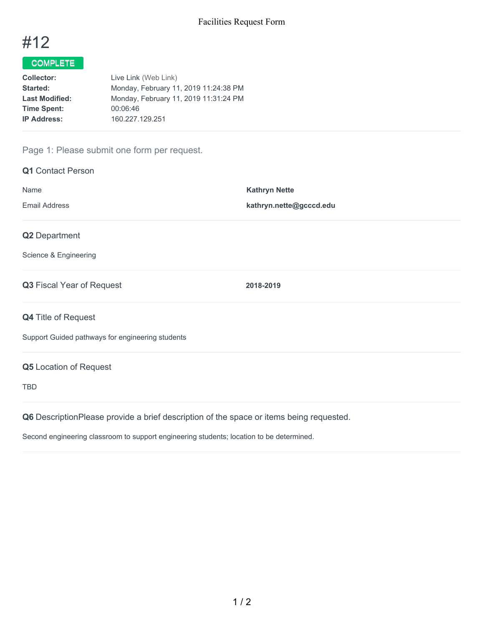

## COMPLETE

| Live Link (Web Link)                  |
|---------------------------------------|
| Monday, February 11, 2019 11:24:38 PM |
| Monday, February 11, 2019 11:31:24 PM |
| 00:06:46                              |
| 160.227.129.251                       |
|                                       |

## Page 1: Please submit one form per request.

| <b>Q1</b> Contact Person                                                                |                         |
|-----------------------------------------------------------------------------------------|-------------------------|
| Name                                                                                    | <b>Kathryn Nette</b>    |
| <b>Email Address</b>                                                                    | kathryn.nette@gcccd.edu |
| Q2 Department                                                                           |                         |
| Science & Engineering                                                                   |                         |
| Q3 Fiscal Year of Request                                                               | 2018-2019               |
| <b>Q4 Title of Request</b>                                                              |                         |
| Support Guided pathways for engineering students                                        |                         |
| <b>Q5</b> Location of Request                                                           |                         |
| <b>TBD</b>                                                                              |                         |
| Q6 DescriptionPlease provide a brief description of the space or items being requested. |                         |

Second engineering classroom to support engineering students; location to be determined.